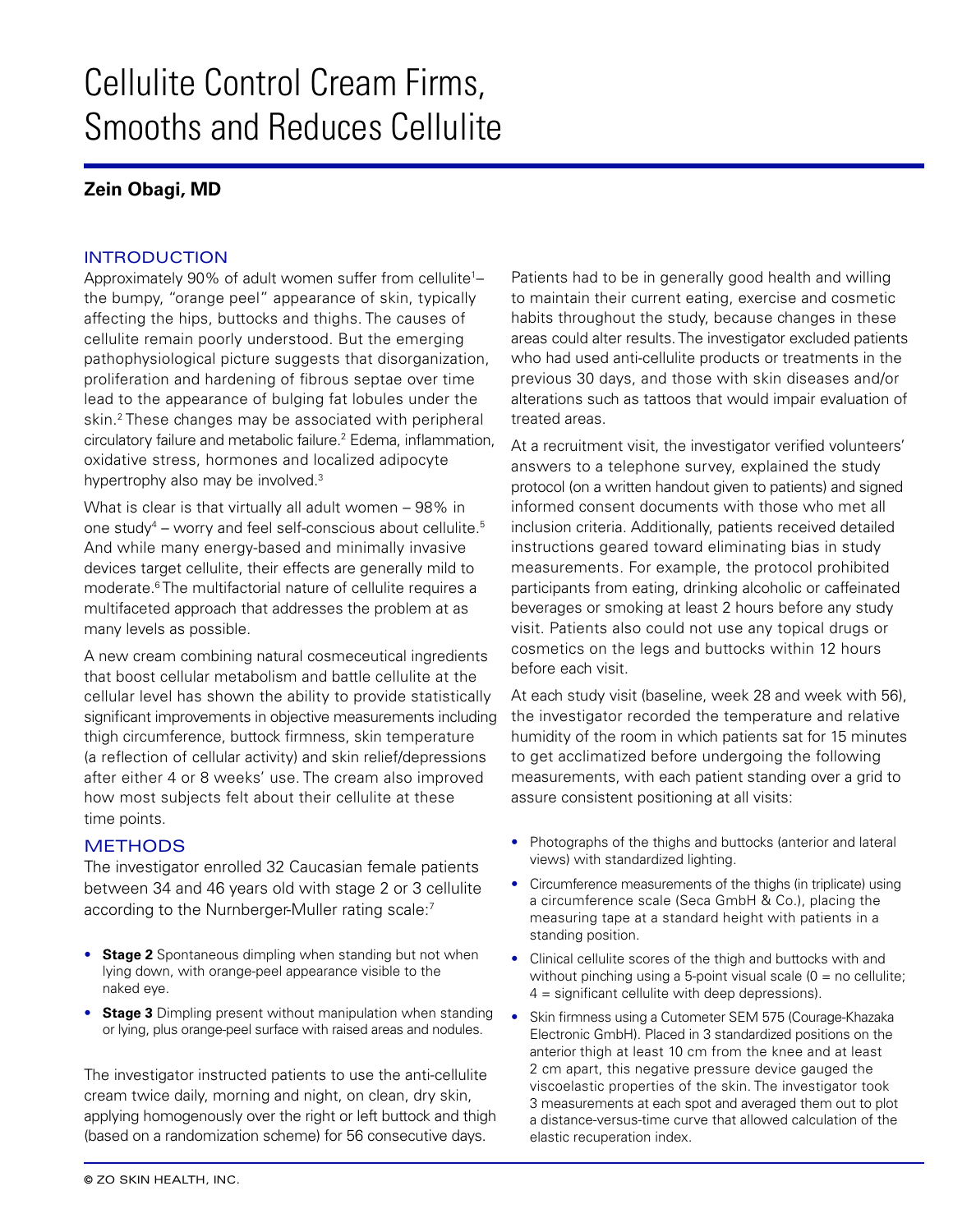# Cellulite Control Cream Firms, Smooths and Reduces Cellulite

## **Zein Obagi, MD**

#### INTRODUCTION

Approximately 90% of adult women suffer from cellulite<sup>1</sup>the bumpy, "orange peel" appearance of skin, typically affecting the hips, buttocks and thighs. The causes of cellulite remain poorly understood. But the emerging pathophysiological picture suggests that disorganization, proliferation and hardening of fibrous septae over time lead to the appearance of bulging fat lobules under the skin.<sup>2</sup> These changes may be associated with peripheral circulatory failure and metabolic failure.2 Edema, inflammation, oxidative stress, hormones and localized adipocyte hypertrophy also may be involved.<sup>3</sup>

What is clear is that virtually all adult women – 98% in one study<sup>4</sup> – worry and feel self-conscious about cellulite.<sup>5</sup> And while many energy-based and minimally invasive devices target cellulite, their effects are generally mild to moderate.<sup>6</sup> The multifactorial nature of cellulite requires a multifaceted approach that addresses the problem at as many levels as possible.

A new cream combining natural cosmeceutical ingredients that boost cellular metabolism and battle cellulite at the cellular level has shown the ability to provide statistically significant improvements in objective measurements including thigh circumference, buttock firmness, skin temperature (a reflection of cellular activity) and skin relief/depressions after either 4 or 8 weeks' use. The cream also improved how most subjects felt about their cellulite at these time points.

### **METHODS**

The investigator enrolled 32 Caucasian female patients between 34 and 46 years old with stage 2 or 3 cellulite according to the Nurnberger-Muller rating scale:<sup>7</sup>

- **Stage 2** Spontaneous dimpling when standing but not when lying down, with orange-peel appearance visible to the naked eye.
- **Stage 3** Dimpling present without manipulation when standing or lying, plus orange-peel surface with raised areas and nodules.

The investigator instructed patients to use the anti-cellulite cream twice daily, morning and night, on clean, dry skin, applying homogenously over the right or left buttock and thigh (based on a randomization scheme) for 56 consecutive days.

Patients had to be in generally good health and willing to maintain their current eating, exercise and cosmetic habits throughout the study, because changes in these areas could alter results. The investigator excluded patients who had used anti-cellulite products or treatments in the previous 30 days, and those with skin diseases and/or alterations such as tattoos that would impair evaluation of treated areas.

At a recruitment visit, the investigator verified volunteers' answers to a telephone survey, explained the study protocol (on a written handout given to patients) and signed informed consent documents with those who met all inclusion criteria. Additionally, patients received detailed instructions geared toward eliminating bias in study measurements. For example, the protocol prohibited participants from eating, drinking alcoholic or caffeinated beverages or smoking at least 2 hours before any study visit. Patients also could not use any topical drugs or cosmetics on the legs and buttocks within 12 hours before each visit.

At each study visit (baseline, week 28 and week with 56), the investigator recorded the temperature and relative humidity of the room in which patients sat for 15 minutes to get acclimatized before undergoing the following measurements, with each patient standing over a grid to assure consistent positioning at all visits:

- Photographs of the thighs and buttocks (anterior and lateral views) with standardized lighting.
- Circumference measurements of the thighs (in triplicate) using a circumference scale (Seca GmbH & Co.), placing the measuring tape at a standard height with patients in a standing position.
- Clinical cellulite scores of the thigh and buttocks with and without pinching using a 5-point visual scale  $(0 = no$  cellulite; 4 = significant cellulite with deep depressions).
- Skin firmness using a Cutometer SEM 575 (Courage-Khazaka Electronic GmbH). Placed in 3 standardized positions on the anterior thigh at least 10 cm from the knee and at least 2 cm apart, this negative pressure device gauged the viscoelastic properties of the skin. The investigator took 3 measurements at each spot and averaged them out to plot a distance-versus-time curve that allowed calculation of the elastic recuperation index.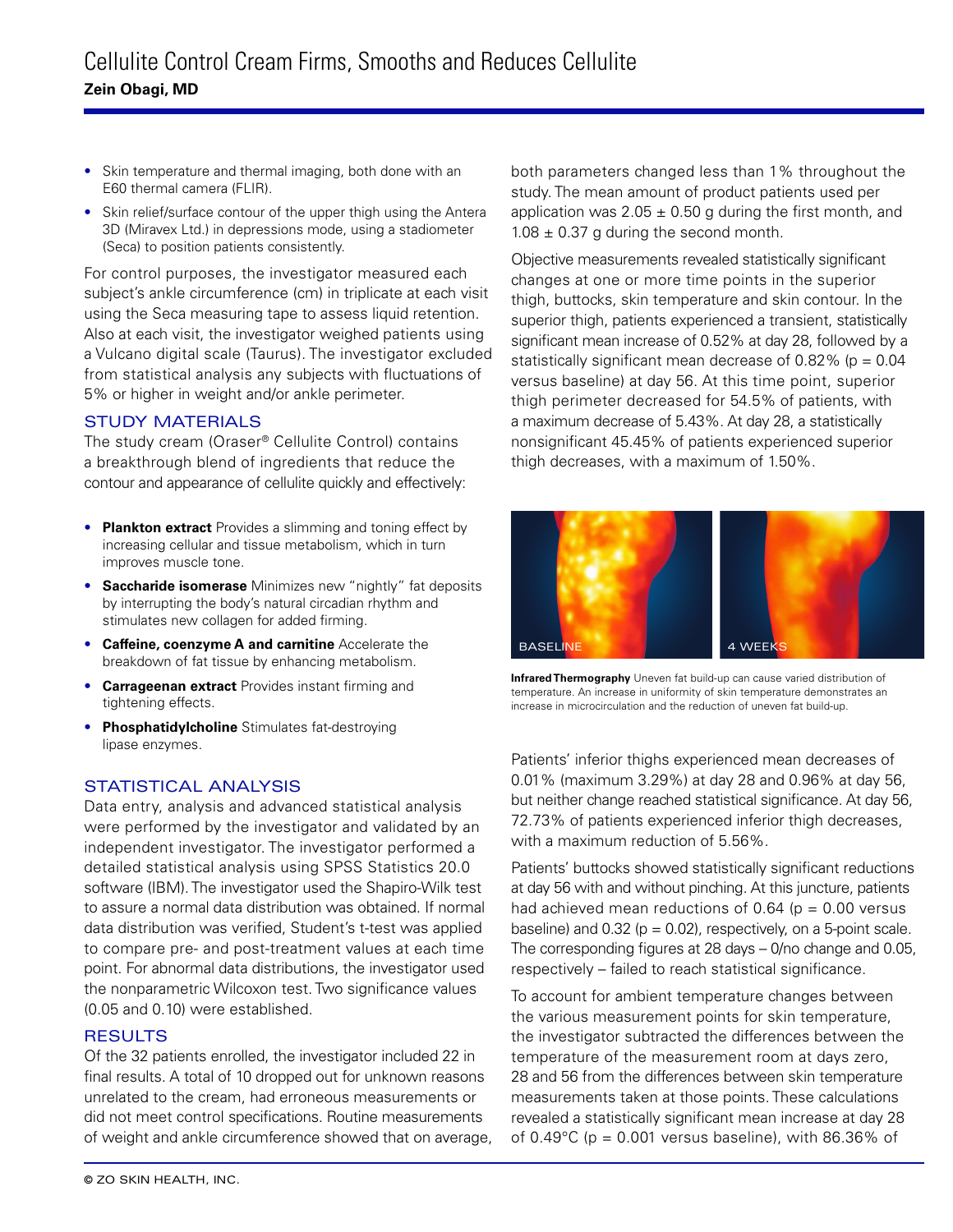- Skin temperature and thermal imaging, both done with an E60 thermal camera (FLIR).
- Skin relief/surface contour of the upper thigh using the Antera 3D (Miravex Ltd.) in depressions mode, using a stadiometer (Seca) to position patients consistently.

For control purposes, the investigator measured each subject's ankle circumference (cm) in triplicate at each visit using the Seca measuring tape to assess liquid retention. Also at each visit, the investigator weighed patients using a Vulcano digital scale (Taurus). The investigator excluded from statistical analysis any subjects with fluctuations of 5% or higher in weight and/or ankle perimeter.

#### STUDY MATERIALS

The study cream (Oraser® Cellulite Control) contains a breakthrough blend of ingredients that reduce the contour and appearance of cellulite quickly and effectively:

- **Plankton extract** Provides a slimming and toning effect by increasing cellular and tissue metabolism, which in turn improves muscle tone.
- **Saccharide isomerase** Minimizes new "nightly" fat deposits by interrupting the body's natural circadian rhythm and stimulates new collagen for added firming.
- **Caffeine, coenzyme A and carnitine** Accelerate the breakdown of fat tissue by enhancing metabolism.
- **Carrageenan extract** Provides instant firming and tightening effects.
- **Phosphatidylcholine** Stimulates fat-destroying lipase enzymes.

#### STATISTICAL ANALYSIS

Data entry, analysis and advanced statistical analysis were performed by the investigator and validated by an independent investigator. The investigator performed a detailed statistical analysis using SPSS Statistics 20.0 software (IBM). The investigator used the Shapiro-Wilk test to assure a normal data distribution was obtained. If normal data distribution was verified, Student's t-test was applied to compare pre- and post-treatment values at each time point. For abnormal data distributions, the investigator used the nonparametric Wilcoxon test. Two significance values (0.05 and 0.10) were established.

#### **RESULTS**

Of the 32 patients enrolled, the investigator included 22 in final results. A total of 10 dropped out for unknown reasons unrelated to the cream, had erroneous measurements or did not meet control specifications. Routine measurements of weight and ankle circumference showed that on average, both parameters changed less than 1% throughout the study. The mean amount of product patients used per application was  $2.05 \pm 0.50$  g during the first month, and  $1.08 \pm 0.37$  g during the second month.

Objective measurements revealed statistically significant changes at one or more time points in the superior thigh, buttocks, skin temperature and skin contour. In the superior thigh, patients experienced a transient, statistically significant mean increase of 0.52% at day 28, followed by a statistically significant mean decrease of  $0.82\%$  (p = 0.04 versus baseline) at day 56. At this time point, superior thigh perimeter decreased for 54.5% of patients, with a maximum decrease of 5.43%. At day 28, a statistically nonsignificant 45.45% of patients experienced superior thigh decreases, with a maximum of 1.50%.



**Infrared Thermography** Uneven fat build-up can cause varied distribution of temperature. An increase in uniformity of skin temperature demonstrates an increase in microcirculation and the reduction of uneven fat build-up.

Patients' inferior thighs experienced mean decreases of 0.01% (maximum 3.29%) at day 28 and 0.96% at day 56, but neither change reached statistical significance. At day 56, 72.73% of patients experienced inferior thigh decreases, with a maximum reduction of 5.56%.

Patients' buttocks showed statistically significant reductions at day 56 with and without pinching. At this juncture, patients had achieved mean reductions of 0.64 ( $p = 0.00$  versus baseline) and  $0.32$  ( $p = 0.02$ ), respectively, on a 5-point scale. The corresponding figures at 28 days – 0/no change and 0.05, respectively – failed to reach statistical significance.

To account for ambient temperature changes between the various measurement points for skin temperature, the investigator subtracted the differences between the temperature of the measurement room at days zero, 28 and 56 from the differences between skin temperature measurements taken at those points. These calculations revealed a statistically significant mean increase at day 28 of 0.49 $^{\circ}$ C (p = 0.001 versus baseline), with 86.36% of